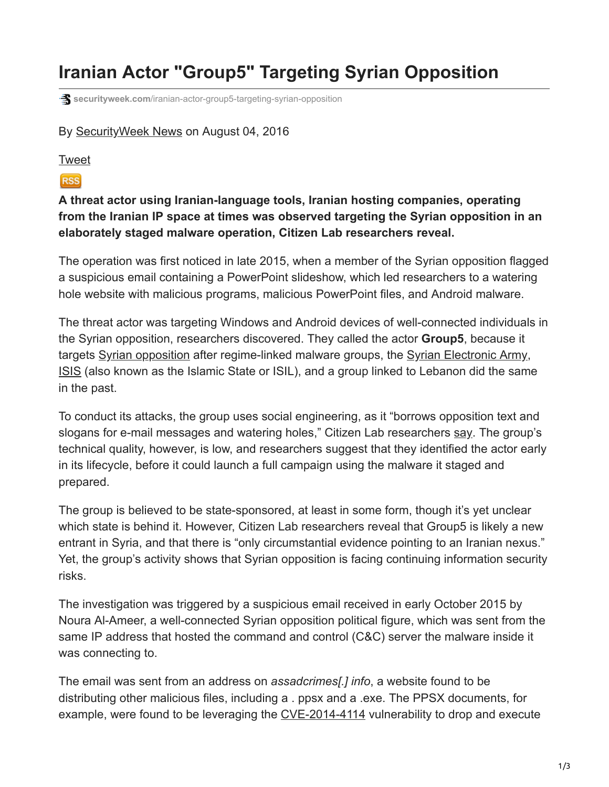## **Iranian Actor "Group5" Targeting Syrian Opposition**

**s** securityweek.com[/iranian-actor-group5-targeting-syrian-opposition](https://www.securityweek.com/iranian-actor-group5-targeting-syrian-opposition)

## By [SecurityWeek News](https://www.securityweek.com/authors/securityweek-news) on August 04, 2016

## [Tweet](https://twitter.com/share)

## **RSS**

**A threat actor using Iranian-language tools, Iranian hosting companies, operating from the Iranian IP space at times was observed targeting the Syrian opposition in an elaborately staged malware operation, Citizen Lab researchers reveal.**

The operation was first noticed in late 2015, when a member of the Syrian opposition flagged a suspicious email containing a PowerPoint slideshow, which led researchers to a watering hole website with malicious programs, malicious PowerPoint files, and Android malware.

The threat actor was targeting Windows and Android devices of well-connected individuals in the Syrian opposition, researchers discovered. They called the actor **Group5**, because it targets [Syrian opposition](https://www.securityweek.com/search/google/Syrian%20opposition?query=Syrian%20opposition&cx=016540353864684098383%3A6mcx-eenlzi&cof=FORID%3A11&sitesearch=&safe=off) after regime-linked malware groups, the [Syrian Electronic Army](https://www.securityweek.com/syrian-electronic-army-hacker-extradited-us), [ISIS](https://www.securityweek.com/search/google/ISIS?query=ISIS&cx=016540353864684098383%3A6mcx-eenlzi&cof=FORID%3A11&sitesearch=&safe=off) (also known as the Islamic State or ISIL), and a group linked to Lebanon did the same in the past.

To conduct its attacks, the group uses social engineering, as it "borrows opposition text and slogans for e-mail messages and watering holes," Citizen Lab researchers [say.](https://citizenlab.org/2016/08/group5-syria/) The group's technical quality, however, is low, and researchers suggest that they identified the actor early in its lifecycle, before it could launch a full campaign using the malware it staged and prepared.

The group is believed to be state-sponsored, at least in some form, though it's yet unclear which state is behind it. However, Citizen Lab researchers reveal that Group5 is likely a new entrant in Syria, and that there is "only circumstantial evidence pointing to an Iranian nexus." Yet, the group's activity shows that Syrian opposition is facing continuing information security risks.

The investigation was triggered by a suspicious email received in early October 2015 by Noura Al-Ameer, a well-connected Syrian opposition political figure, which was sent from the same IP address that hosted the command and control (C&C) server the malware inside it was connecting to.

The email was sent from an address on *assadcrimes[.] info*, a website found to be distributing other malicious files, including a . ppsx and a .exe. The PPSX documents, for example, were found to be leveraging the [CVE-2014-4114](https://www.securityweek.com/multiple-patch-tuesday-vulnerabilities-under-attack) vulnerability to drop and execute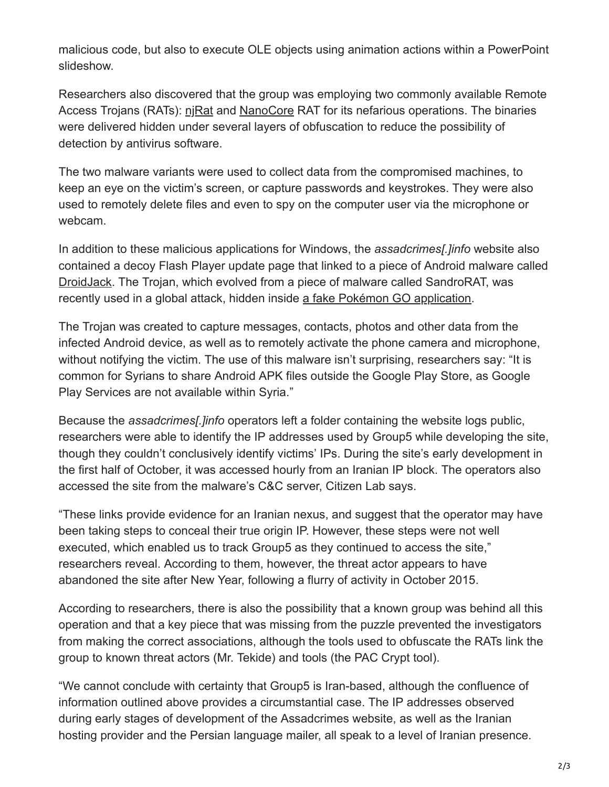malicious code, but also to execute OLE objects using animation actions within a PowerPoint slideshow.

Researchers also discovered that the group was employing two commonly available Remote Access Trojans (RATs): [njRat](https://www.securityweek.com/njrat-malware-gains-popularity-among-middle-east-attack-groups) and [NanoCore](https://www.securityweek.com/nation-state-actors-use-fileless-tricks-deliver-rats) RAT for its nefarious operations. The binaries were delivered hidden under several layers of obfuscation to reduce the possibility of detection by antivirus software.

The two malware variants were used to collect data from the compromised machines, to keep an eye on the victim's screen, or capture passwords and keystrokes. They were also used to remotely delete files and even to spy on the computer user via the microphone or webcam.

In addition to these malicious applications for Windows, the *assadcrimes[.]info* website also contained a decoy Flash Player update page that linked to a piece of Android malware called [DroidJack](https://www.securityweek.com/developers-android-rat-droidjack-traced-india). The Trojan, which evolved from a piece of malware called SandroRAT, was recently used in a global attack, hidden inside [a fake Pokémon GO application.](https://www.securityweek.com/backdoored-pokemon-go-app-infects-android-devices)

The Trojan was created to capture messages, contacts, photos and other data from the infected Android device, as well as to remotely activate the phone camera and microphone, without notifying the victim. The use of this malware isn't surprising, researchers say: "It is common for Syrians to share Android APK files outside the Google Play Store, as Google Play Services are not available within Syria."

Because the *assadcrimes[.]info* operators left a folder containing the website logs public, researchers were able to identify the IP addresses used by Group5 while developing the site, though they couldn't conclusively identify victims' IPs. During the site's early development in the first half of October, it was accessed hourly from an Iranian IP block. The operators also accessed the site from the malware's C&C server, Citizen Lab says.

"These links provide evidence for an Iranian nexus, and suggest that the operator may have been taking steps to conceal their true origin IP. However, these steps were not well executed, which enabled us to track Group5 as they continued to access the site," researchers reveal. According to them, however, the threat actor appears to have abandoned the site after New Year, following a flurry of activity in October 2015.

According to researchers, there is also the possibility that a known group was behind all this operation and that a key piece that was missing from the puzzle prevented the investigators from making the correct associations, although the tools used to obfuscate the RATs link the group to known threat actors (Mr. Tekide) and tools (the PAC Crypt tool).

"We cannot conclude with certainty that Group5 is Iran-based, although the confluence of information outlined above provides a circumstantial case. The IP addresses observed during early stages of development of the Assadcrimes website, as well as the Iranian hosting provider and the Persian language mailer, all speak to a level of Iranian presence.